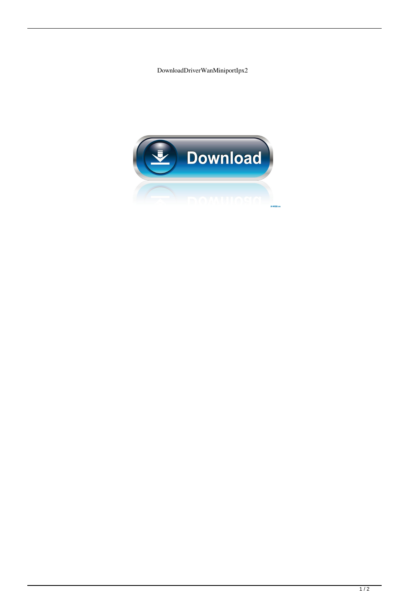DownloadDriverWanMiniportIpx2